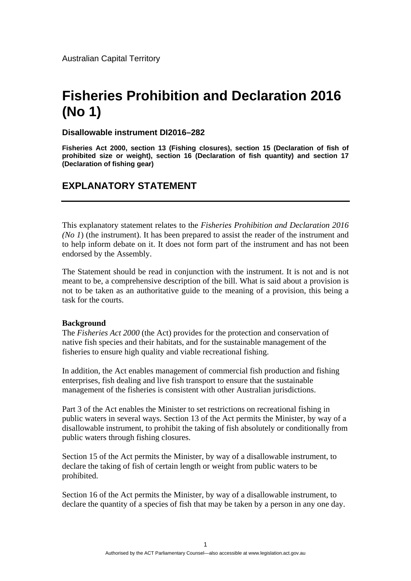# **Fisheries Prohibition and Declaration 2016 (No 1)**

# **Disallowable instrument DI2016–282**

**Fisheries Act 2000, section 13 (Fishing closures), section 15 (Declaration of fish of prohibited size or weight), section 16 (Declaration of fish quantity) and section 17 (Declaration of fishing gear)** 

# **EXPLANATORY STATEMENT**

This explanatory statement relates to the *Fisheries Prohibition and Declaration 2016 (No 1*) (the instrument). It has been prepared to assist the reader of the instrument and to help inform debate on it. It does not form part of the instrument and has not been endorsed by the Assembly.

The Statement should be read in conjunction with the instrument. It is not and is not meant to be, a comprehensive description of the bill. What is said about a provision is not to be taken as an authoritative guide to the meaning of a provision, this being a task for the courts.

#### **Background**

The *Fisheries Act 2000* (the Act) provides for the protection and conservation of native fish species and their habitats, and for the sustainable management of the fisheries to ensure high quality and viable recreational fishing.

In addition, the Act enables management of commercial fish production and fishing enterprises, fish dealing and live fish transport to ensure that the sustainable management of the fisheries is consistent with other Australian jurisdictions.

Part 3 of the Act enables the Minister to set restrictions on recreational fishing in public waters in several ways. Section 13 of the Act permits the Minister, by way of a disallowable instrument, to prohibit the taking of fish absolutely or conditionally from public waters through fishing closures.

Section 15 of the Act permits the Minister, by way of a disallowable instrument, to declare the taking of fish of certain length or weight from public waters to be prohibited.

Section 16 of the Act permits the Minister, by way of a disallowable instrument, to declare the quantity of a species of fish that may be taken by a person in any one day.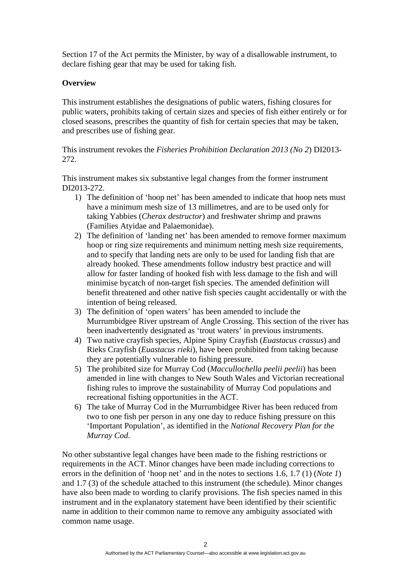Section 17 of the Act permits the Minister, by way of a disallowable instrument, to declare fishing gear that may be used for taking fish.

# **Overview**

This instrument establishes the designations of public waters, fishing closures for public waters, prohibits taking of certain sizes and species of fish either entirely or for closed seasons, prescribes the quantity of fish for certain species that may be taken, and prescribes use of fishing gear.

# This instrument revokes the *Fisheries Prohibition Declaration 2013 (No 2*) DI2013- 272.

This instrument makes six substantive legal changes from the former instrument DI2013-272.

- 1) The definition of 'hoop net' has been amended to indicate that hoop nets must have a minimum mesh size of 13 millimetres, and are to be used only for taking Yabbies (*Cherax destructor*) and freshwater shrimp and prawns (Families Atyidae and Palaemonidae).
- 2) The definition of 'landing net' has been amended to remove former maximum hoop or ring size requirements and minimum netting mesh size requirements, and to specify that landing nets are only to be used for landing fish that are already hooked. These amendments follow industry best practice and will allow for faster landing of hooked fish with less damage to the fish and will minimise bycatch of non-target fish species. The amended definition will benefit threatened and other native fish species caught accidentally or with the intention of being released.
- 3) The definition of 'open waters' has been amended to include the Murrumbidgee River upstream of Angle Crossing. This section of the river has been inadvertently designated as 'trout waters' in previous instruments.
- 4) Two native crayfish species, Alpine Spiny Crayfish (*Euastacus crassus*) and Rieks Crayfish (*Euastacus rieki*), have been prohibited from taking because they are potentially vulnerable to fishing pressure.
- 5) The prohibited size for Murray Cod (*Maccullochella peelii peelii*) has been amended in line with changes to New South Wales and Victorian recreational fishing rules to improve the sustainability of Murray Cod populations and recreational fishing opportunities in the ACT.
- 6) The take of Murray Cod in the Murrumbidgee River has been reduced from two to one fish per person in any one day to reduce fishing pressure on this 'Important Population', as identified in the *National Recovery Plan for the Murray Cod*.

No other substantive legal changes have been made to the fishing restrictions or requirements in the ACT. Minor changes have been made including corrections to errors in the definition of 'hoop net' and in the notes to sections 1.6, 1.7 (1) (*Note 1*) and 1.7 (3) of the schedule attached to this instrument (the schedule). Minor changes have also been made to wording to clarify provisions. The fish species named in this instrument and in the explanatory statement have been identified by their scientific name in addition to their common name to remove any ambiguity associated with common name usage.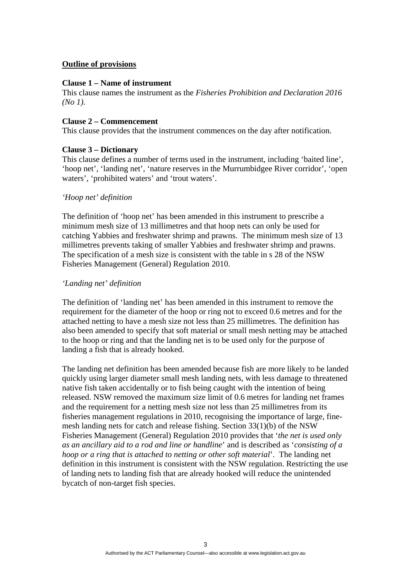# **Outline of provisions**

#### **Clause 1 – Name of instrument**

This clause names the instrument as the *Fisheries Prohibition and Declaration 2016 (No 1).* 

#### **Clause 2 – Commencement**

This clause provides that the instrument commences on the day after notification.

#### **Clause 3 – Dictionary**

This clause defines a number of terms used in the instrument, including 'baited line', 'hoop net', 'landing net', 'nature reserves in the Murrumbidgee River corridor', 'open waters', 'prohibited waters' and 'trout waters'.

#### *'Hoop net' definition*

The definition of 'hoop net' has been amended in this instrument to prescribe a minimum mesh size of 13 millimetres and that hoop nets can only be used for catching Yabbies and freshwater shrimp and prawns. The minimum mesh size of 13 millimetres prevents taking of smaller Yabbies and freshwater shrimp and prawns. The specification of a mesh size is consistent with the table in s 28 of the NSW Fisheries Management (General) Regulation 2010.

#### *'Landing net' definition*

The definition of 'landing net' has been amended in this instrument to remove the requirement for the diameter of the hoop or ring not to exceed 0.6 metres and for the attached netting to have a mesh size not less than 25 millimetres. The definition has also been amended to specify that soft material or small mesh netting may be attached to the hoop or ring and that the landing net is to be used only for the purpose of landing a fish that is already hooked.

The landing net definition has been amended because fish are more likely to be landed quickly using larger diameter small mesh landing nets, with less damage to threatened native fish taken accidentally or to fish being caught with the intention of being released. NSW removed the maximum size limit of 0.6 metres for landing net frames and the requirement for a netting mesh size not less than 25 millimetres from its fisheries management regulations in 2010, recognising the importance of large, finemesh landing nets for catch and release fishing. Section 33(1)(b) of the NSW Fisheries Management (General) Regulation 2010 provides that '*the net is used only as an ancillary aid to a rod and line or handline*' and is described as '*consisting of a hoop or a ring that is attached to netting or other soft material*'. The landing net definition in this instrument is consistent with the NSW regulation. Restricting the use of landing nets to landing fish that are already hooked will reduce the unintended bycatch of non-target fish species.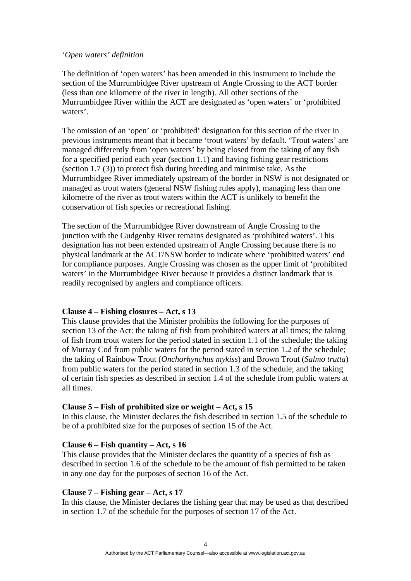#### *'Open waters' definition*

The definition of 'open waters' has been amended in this instrument to include the section of the Murrumbidgee River upstream of Angle Crossing to the ACT border (less than one kilometre of the river in length). All other sections of the Murrumbidgee River within the ACT are designated as 'open waters' or 'prohibited waters'.

The omission of an 'open' or 'prohibited' designation for this section of the river in previous instruments meant that it became 'trout waters' by default. 'Trout waters' are managed differently from 'open waters' by being closed from the taking of any fish for a specified period each year (section 1.1) and having fishing gear restrictions (section 1.7 (3)) to protect fish during breeding and minimise take. As the Murrumbidgee River immediately upstream of the border in NSW is not designated or managed as trout waters (general NSW fishing rules apply), managing less than one kilometre of the river as trout waters within the ACT is unlikely to benefit the conservation of fish species or recreational fishing.

The section of the Murrumbidgee River downstream of Angle Crossing to the junction with the Gudgenby River remains designated as 'prohibited waters'. This designation has not been extended upstream of Angle Crossing because there is no physical landmark at the ACT/NSW border to indicate where 'prohibited waters' end for compliance purposes. Angle Crossing was chosen as the upper limit of 'prohibited waters' in the Murrumbidgee River because it provides a distinct landmark that is readily recognised by anglers and compliance officers.

# **Clause 4 – Fishing closures – Act, s 13**

This clause provides that the Minister prohibits the following for the purposes of section 13 of the Act: the taking of fish from prohibited waters at all times; the taking of fish from trout waters for the period stated in section 1.1 of the schedule; the taking of Murray Cod from public waters for the period stated in section 1.2 of the schedule; the taking of Rainbow Trout (*Onchorhynchus mykiss*) and Brown Trout (*Salmo trutta*) from public waters for the period stated in section 1.3 of the schedule; and the taking of certain fish species as described in section 1.4 of the schedule from public waters at all times.

# **Clause 5 – Fish of prohibited size or weight – Act, s 15**

In this clause, the Minister declares the fish described in section 1.5 of the schedule to be of a prohibited size for the purposes of section 15 of the Act.

#### **Clause 6 – Fish quantity – Act, s 16**

This clause provides that the Minister declares the quantity of a species of fish as described in section 1.6 of the schedule to be the amount of fish permitted to be taken in any one day for the purposes of section 16 of the Act.

#### **Clause 7 – Fishing gear – Act, s 17**

In this clause, the Minister declares the fishing gear that may be used as that described in section 1.7 of the schedule for the purposes of section 17 of the Act.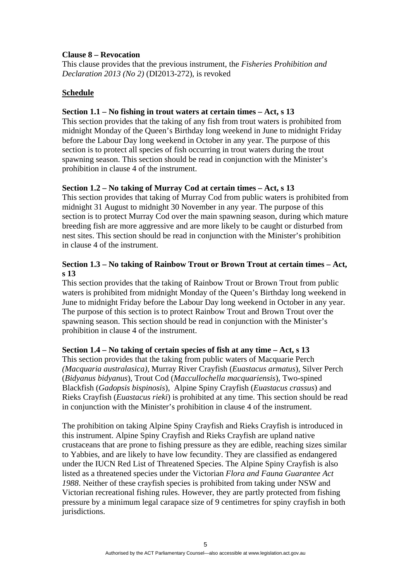# **Clause 8 – Revocation**

This clause provides that the previous instrument, the *Fisheries Prohibition and Declaration 2013 (No 2)* (DI2013-272), is revoked

# **Schedule**

# **Section 1.1 – No fishing in trout waters at certain times – Act, s 13**

This section provides that the taking of any fish from trout waters is prohibited from midnight Monday of the Queen's Birthday long weekend in June to midnight Friday before the Labour Day long weekend in October in any year. The purpose of this section is to protect all species of fish occurring in trout waters during the trout spawning season. This section should be read in conjunction with the Minister's prohibition in clause 4 of the instrument.

# **Section 1.2 – No taking of Murray Cod at certain times – Act, s 13**

This section provides that taking of Murray Cod from public waters is prohibited from midnight 31 August to midnight 30 November in any year. The purpose of this section is to protect Murray Cod over the main spawning season, during which mature breeding fish are more aggressive and are more likely to be caught or disturbed from nest sites. This section should be read in conjunction with the Minister's prohibition in clause 4 of the instrument.

# **Section 1.3 – No taking of Rainbow Trout or Brown Trout at certain times – Act, s 13**

This section provides that the taking of Rainbow Trout or Brown Trout from public waters is prohibited from midnight Monday of the Queen's Birthday long weekend in June to midnight Friday before the Labour Day long weekend in October in any year. The purpose of this section is to protect Rainbow Trout and Brown Trout over the spawning season. This section should be read in conjunction with the Minister's prohibition in clause 4 of the instrument.

# **Section 1.4 – No taking of certain species of fish at any time – Act, s 13**

This section provides that the taking from public waters of Macquarie Perch *(Macquaria australasica)*, Murray River Crayfish (*Euastacus armatus*), Silver Perch (*Bidyanus bidyanus*), Trout Cod (*Maccullochella macquariensis*), Two-spined Blackfish (*Gadopsis bispinosis*), Alpine Spiny Crayfish (*Euastacus crassus*) and Rieks Crayfish (*Euastacus rieki*) is prohibited at any time. This section should be read in conjunction with the Minister's prohibition in clause 4 of the instrument.

The prohibition on taking Alpine Spiny Crayfish and Rieks Crayfish is introduced in this instrument. Alpine Spiny Crayfish and Rieks Crayfish are upland native crustaceans that are prone to fishing pressure as they are edible, reaching sizes similar to Yabbies, and are likely to have low fecundity. They are classified as endangered under the IUCN Red List of Threatened Species. The Alpine Spiny Crayfish is also listed as a threatened species under the Victorian *Flora and Fauna Guarantee Act 1988*. Neither of these crayfish species is prohibited from taking under NSW and Victorian recreational fishing rules. However, they are partly protected from fishing pressure by a minimum legal carapace size of 9 centimetres for spiny crayfish in both jurisdictions.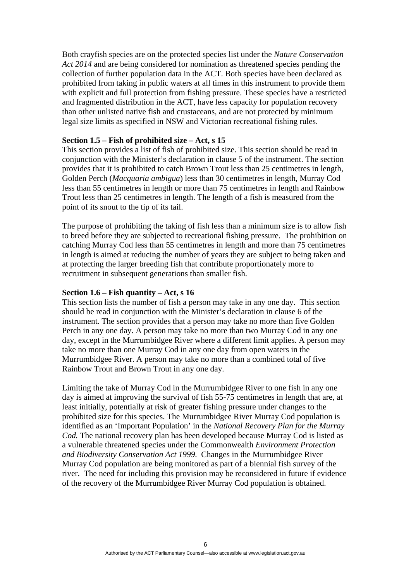Both crayfish species are on the protected species list under the *Nature Conservation Act 2014* and are being considered for nomination as threatened species pending the collection of further population data in the ACT. Both species have been declared as prohibited from taking in public waters at all times in this instrument to provide them with explicit and full protection from fishing pressure. These species have a restricted and fragmented distribution in the ACT, have less capacity for population recovery than other unlisted native fish and crustaceans, and are not protected by minimum legal size limits as specified in NSW and Victorian recreational fishing rules.

#### **Section 1.5 – Fish of prohibited size – Act, s 15**

This section provides a list of fish of prohibited size. This section should be read in conjunction with the Minister's declaration in clause 5 of the instrument. The section provides that it is prohibited to catch Brown Trout less than 25 centimetres in length, Golden Perch (*Macquaria ambigua*) less than 30 centimetres in length, Murray Cod less than 55 centimetres in length or more than 75 centimetres in length and Rainbow Trout less than 25 centimetres in length. The length of a fish is measured from the point of its snout to the tip of its tail.

The purpose of prohibiting the taking of fish less than a minimum size is to allow fish to breed before they are subjected to recreational fishing pressure. The prohibition on catching Murray Cod less than 55 centimetres in length and more than 75 centimetres in length is aimed at reducing the number of years they are subject to being taken and at protecting the larger breeding fish that contribute proportionately more to recruitment in subsequent generations than smaller fish.

#### **Section 1.6 – Fish quantity – Act, s 16**

This section lists the number of fish a person may take in any one day. This section should be read in conjunction with the Minister's declaration in clause 6 of the instrument. The section provides that a person may take no more than five Golden Perch in any one day. A person may take no more than two Murray Cod in any one day, except in the Murrumbidgee River where a different limit applies. A person may take no more than one Murray Cod in any one day from open waters in the Murrumbidgee River. A person may take no more than a combined total of five Rainbow Trout and Brown Trout in any one day.

Limiting the take of Murray Cod in the Murrumbidgee River to one fish in any one day is aimed at improving the survival of fish 55-75 centimetres in length that are, at least initially, potentially at risk of greater fishing pressure under changes to the prohibited size for this species. The Murrumbidgee River Murray Cod population is identified as an 'Important Population' in the *National Recovery Plan for the Murray Cod.* The national recovery plan has been developed because Murray Cod is listed as a vulnerable threatened species under the Commonwealth *Environment Protection and Biodiversity Conservation Act 1999*. Changes in the Murrumbidgee River Murray Cod population are being monitored as part of a biennial fish survey of the river. The need for including this provision may be reconsidered in future if evidence of the recovery of the Murrumbidgee River Murray Cod population is obtained.